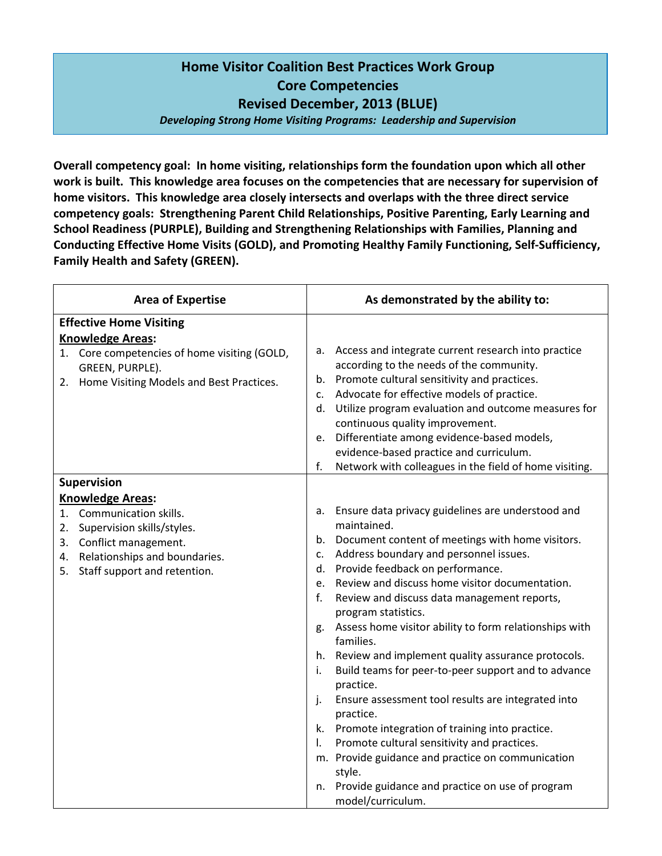## Home Visitor Coalition Best Practices Work Group Core Competencies Revised December, 2013 (BLUE)

Developing Strong Home Visiting Programs: Leadership and Supervision

Overall competency goal: In home visiting, relationships form the foundation upon which all other work is built. This knowledge area focuses on the competencies that are necessary for supervision of home visitors. This knowledge area closely intersects and overlaps with the three direct service competency goals: Strengthening Parent Child Relationships, Positive Parenting, Early Learning and School Readiness (PURPLE), Building and Strengthening Relationships with Families, Planning and Conducting Effective Home Visits (GOLD), and Promoting Healthy Family Functioning, Self-Sufficiency, Family Health and Safety (GREEN).

| <b>Area of Expertise</b>                                                                                                                                          | As demonstrated by the ability to:                                                                                                                                                                                                                                                                                                                                                                                                                                                                                                                                                                                                                                                                                                                                                                                                                                                                               |
|-------------------------------------------------------------------------------------------------------------------------------------------------------------------|------------------------------------------------------------------------------------------------------------------------------------------------------------------------------------------------------------------------------------------------------------------------------------------------------------------------------------------------------------------------------------------------------------------------------------------------------------------------------------------------------------------------------------------------------------------------------------------------------------------------------------------------------------------------------------------------------------------------------------------------------------------------------------------------------------------------------------------------------------------------------------------------------------------|
| <b>Effective Home Visiting</b>                                                                                                                                    |                                                                                                                                                                                                                                                                                                                                                                                                                                                                                                                                                                                                                                                                                                                                                                                                                                                                                                                  |
| <b>Knowledge Areas:</b><br>1. Core competencies of home visiting (GOLD,<br>GREEN, PURPLE).<br>Home Visiting Models and Best Practices.<br>2.                      | Access and integrate current research into practice<br>а.<br>according to the needs of the community.<br>Promote cultural sensitivity and practices.<br>b.<br>Advocate for effective models of practice.<br>$\mathsf{C}$ .<br>Utilize program evaluation and outcome measures for<br>d.<br>continuous quality improvement.<br>Differentiate among evidence-based models,<br>e.<br>evidence-based practice and curriculum.<br>f.<br>Network with colleagues in the field of home visiting.                                                                                                                                                                                                                                                                                                                                                                                                                        |
| <b>Supervision</b>                                                                                                                                                |                                                                                                                                                                                                                                                                                                                                                                                                                                                                                                                                                                                                                                                                                                                                                                                                                                                                                                                  |
| <b>Knowledge Areas:</b>                                                                                                                                           |                                                                                                                                                                                                                                                                                                                                                                                                                                                                                                                                                                                                                                                                                                                                                                                                                                                                                                                  |
| 1. Communication skills.<br>Supervision skills/styles.<br>2.<br>3. Conflict management.<br>4. Relationships and boundaries.<br>Staff support and retention.<br>5. | Ensure data privacy guidelines are understood and<br>a.<br>maintained.<br>Document content of meetings with home visitors.<br>b.<br>Address boundary and personnel issues.<br>c.<br>Provide feedback on performance.<br>d.<br>Review and discuss home visitor documentation.<br>e.<br>Review and discuss data management reports,<br>f.<br>program statistics.<br>Assess home visitor ability to form relationships with<br>g.<br>families.<br>h. Review and implement quality assurance protocols.<br>Build teams for peer-to-peer support and to advance<br>i.<br>practice.<br>Ensure assessment tool results are integrated into<br>j.<br>practice.<br>Promote integration of training into practice.<br>k.<br>Promote cultural sensitivity and practices.<br>I.<br>m. Provide guidance and practice on communication<br>style.<br>Provide guidance and practice on use of program<br>n.<br>model/curriculum. |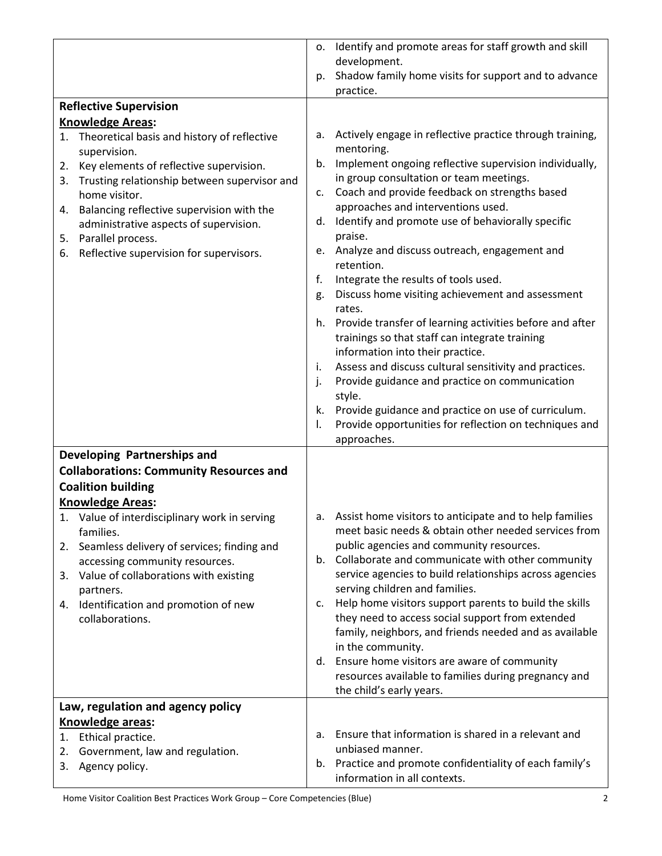|                                                                                        | Identify and promote areas for staff growth and skill<br>о.                                             |
|----------------------------------------------------------------------------------------|---------------------------------------------------------------------------------------------------------|
|                                                                                        | development.                                                                                            |
|                                                                                        | Shadow family home visits for support and to advance<br>p.                                              |
|                                                                                        | practice.                                                                                               |
| <b>Reflective Supervision</b>                                                          |                                                                                                         |
| <b>Knowledge Areas:</b>                                                                |                                                                                                         |
| 1. Theoretical basis and history of reflective                                         | Actively engage in reflective practice through training,<br>а.                                          |
| supervision.                                                                           | mentoring.                                                                                              |
| Key elements of reflective supervision.<br>2.                                          | Implement ongoing reflective supervision individually,<br>b.<br>in group consultation or team meetings. |
| 3. Trusting relationship between supervisor and                                        | Coach and provide feedback on strengths based<br>c.                                                     |
| home visitor.                                                                          | approaches and interventions used.                                                                      |
| 4. Balancing reflective supervision with the<br>administrative aspects of supervision. | Identify and promote use of behaviorally specific<br>d.                                                 |
| Parallel process.<br>5.                                                                | praise.                                                                                                 |
| Reflective supervision for supervisors.<br>6.                                          | Analyze and discuss outreach, engagement and<br>e.                                                      |
|                                                                                        | retention.                                                                                              |
|                                                                                        | Integrate the results of tools used.<br>f.<br>Discuss home visiting achievement and assessment<br>g.    |
|                                                                                        | rates.                                                                                                  |
|                                                                                        | h. Provide transfer of learning activities before and after                                             |
|                                                                                        | trainings so that staff can integrate training                                                          |
|                                                                                        | information into their practice.                                                                        |
|                                                                                        | Assess and discuss cultural sensitivity and practices.<br>i.                                            |
|                                                                                        | Provide guidance and practice on communication<br>j.                                                    |
|                                                                                        | style.                                                                                                  |
|                                                                                        | Provide guidance and practice on use of curriculum.<br>k.                                               |
|                                                                                        | Provide opportunities for reflection on techniques and<br>I.<br>approaches.                             |
| Developing Partnerships and                                                            |                                                                                                         |
| <b>Collaborations: Community Resources and</b>                                         |                                                                                                         |
| <b>Coalition building</b>                                                              |                                                                                                         |
| <b>Knowledge Areas:</b>                                                                |                                                                                                         |
| 1. Value of interdisciplinary work in serving                                          | a. Assist home visitors to anticipate and to help families                                              |
| families.                                                                              | meet basic needs & obtain other needed services from                                                    |
| Seamless delivery of services; finding and<br>2.                                       | public agencies and community resources.                                                                |
| accessing community resources.                                                         | Collaborate and communicate with other community<br>b.                                                  |
| Value of collaborations with existing<br>3.                                            | service agencies to build relationships across agencies                                                 |
| partners.                                                                              | serving children and families.                                                                          |
| 4. Identification and promotion of new                                                 | Help home visitors support parents to build the skills<br>c.                                            |
| collaborations.                                                                        | they need to access social support from extended                                                        |
|                                                                                        | family, neighbors, and friends needed and as available<br>in the community.                             |
|                                                                                        | Ensure home visitors are aware of community<br>d.                                                       |
|                                                                                        | resources available to families during pregnancy and                                                    |
|                                                                                        | the child's early years.                                                                                |
| Law, regulation and agency policy                                                      |                                                                                                         |
| Knowledge areas:                                                                       |                                                                                                         |
| Ethical practice.<br>1.                                                                | Ensure that information is shared in a relevant and<br>a.                                               |
| Government, law and regulation.<br>2.                                                  | unbiased manner.                                                                                        |
| Agency policy.<br>3.                                                                   | Practice and promote confidentiality of each family's<br>b.                                             |
|                                                                                        | information in all contexts.                                                                            |